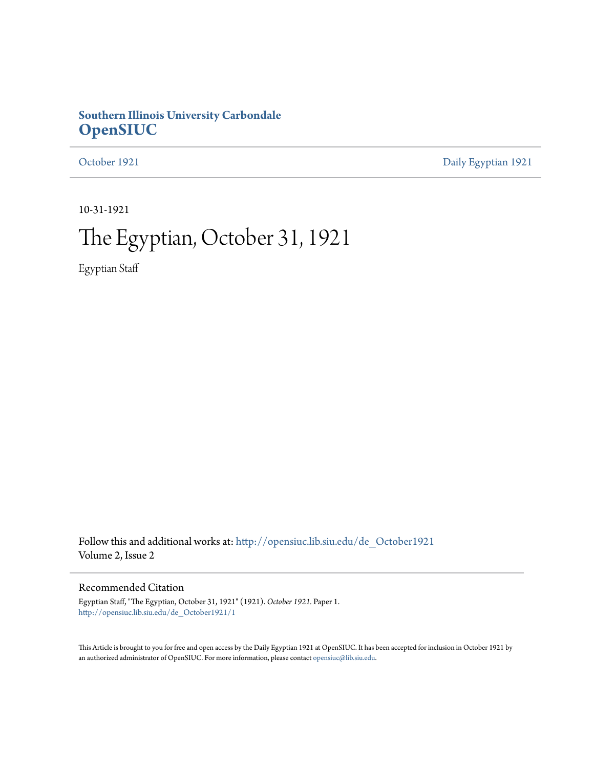## **Southern Illinois University Carbondale [OpenSIUC](http://opensiuc.lib.siu.edu?utm_source=opensiuc.lib.siu.edu%2Fde_October1921%2F1&utm_medium=PDF&utm_campaign=PDFCoverPages)**

[October 1921](http://opensiuc.lib.siu.edu/de_October1921?utm_source=opensiuc.lib.siu.edu%2Fde_October1921%2F1&utm_medium=PDF&utm_campaign=PDFCoverPages) [Daily Egyptian 1921](http://opensiuc.lib.siu.edu/de_1921?utm_source=opensiuc.lib.siu.edu%2Fde_October1921%2F1&utm_medium=PDF&utm_campaign=PDFCoverPages)

10-31-1921

## The Egyptian, October 31, 1921

Egyptian Staff

Follow this and additional works at: [http://opensiuc.lib.siu.edu/de\\_October1921](http://opensiuc.lib.siu.edu/de_October1921?utm_source=opensiuc.lib.siu.edu%2Fde_October1921%2F1&utm_medium=PDF&utm_campaign=PDFCoverPages) Volume 2, Issue 2

## Recommended Citation

Egyptian Staff, "The Egyptian, October 31, 1921" (1921). *October 1921.* Paper 1. [http://opensiuc.lib.siu.edu/de\\_October1921/1](http://opensiuc.lib.siu.edu/de_October1921/1?utm_source=opensiuc.lib.siu.edu%2Fde_October1921%2F1&utm_medium=PDF&utm_campaign=PDFCoverPages)

This Article is brought to you for free and open access by the Daily Egyptian 1921 at OpenSIUC. It has been accepted for inclusion in October 1921 by an authorized administrator of OpenSIUC. For more information, please contact [opensiuc@lib.siu.edu.](mailto:opensiuc@lib.siu.edu)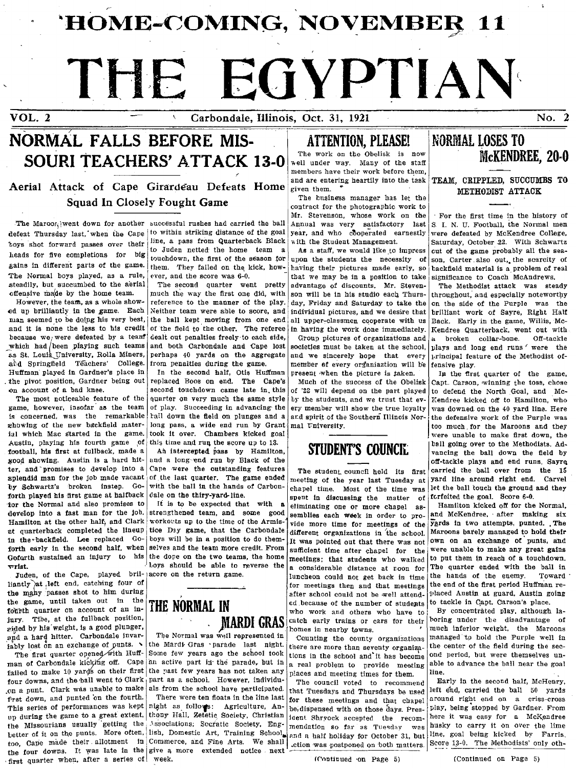'HOME-COMING, NOVEMBER 11

# THE EGYPTIAN

VOL. 2 Carbondale, Illinois, Oct. 31, 1921

No. 2

## NORMAL FALLS BEFORE MIS-SOURI TEACHERS' ATTACK 13-0

Aerial Attack of Cape Girardeau Defeats Home and are entering heartily into the task TEAM, CRIPPLED, SUCCUMBS TO Squad In Closely Fought Game<br>
Squad In Closely Fought Game<br>
outract for the photographic work to I -- For the first time in the history of

defeat Thursday last, when the Cape to within striking distance of the goal year, and who cooperated earnestly were defeated by McKendree College, toys shot forward passes over their line, a pass from Quarterback Black with the Student Management. Saturday, October 22. With Schwartz lieads for five completions for big to juden netted the mome team a as a stan, we would like to impress out of the game probably all the sea-<br>gains in different parts of the game. them, They failed on the kick, how- havin gains in different parts of the game. them. They failed on the kick, how- having their pictures made early, so backfield material is a problem of real The Normal boys played, as a rule, ever, and the score was 6-0. The Normal boys played, as a rule, ever, and the score was 6-0.  $\frac{1}{\text{that}}$  that we may be in a position to take significance to Coach McAndrews.

ed up brilliantly in the game. Each Neither team were able to score, and individual pictures, and we desire that brilliant work of Sayre, Right Halt man seemed to be doing his very best, the ball kept moving from one end man seemed to be doing his very best, the ball kept moving from one end all upper-classmen cooperate with us Back. Early in the game, Willis, Mc-<br>and it is none the less to his credit of the field to the other. The refere and it is none the less to his credit of the field to the other. The referee in having the work done immediately. Kendree Quarterback, went out with because we were deteated by a team dealt out penalties freely to each si because we<sub>/</sub> were defeated by a tean! dealt out penalties freely to each side, Group pictures of organizations and a broken collar-bone. Off-tackle<br>which had/been playing such teams and both Carbondale and Cape lost soci as St. Louis University, Rolla Miners, perhaps 40 yards on the aggregate and we sincerely hope that every principal feature of the Methodist of-<br>and Springfield Teachers' College. from penalties during the game. Huffman' played in Gardner's place in | In the second half, Otis Huffman present when the picture is taken. | In the first quarter of the game, the pivot position, Gardner being out replaced Boos on end. The Cape's Much of the success of the Obelisk Capt. Carson, winning the toss, chose second to account of a bad knee.

game, however, insofar as the team of play. Succeeding in advancing the ery member will show the true loyalty was downed on the 40 yard line. Here is concerned, was the remarkable call down the field on plunges and a ard is concerned, was the remarkable tall down the field on plunges and a and spirit of the Southern Illinois Nor-<br>ghowing of the new backfield mater- long pass, a wide end run by Grant mal University. zhowing of the new backfield mater- long pass, a wide end run by Grant mal Eniversity.<br>ial which Mac started in the game, took it over. Chambers kicked goal Austin, playing his fourth game of this time and run the score up to 13. STUDENT'S COUNCH. [ball going over to the Methodists. Ad-<br>football, his first at fullback, made a | Ah intercepted pass by Hamilton, | STUDENT'S COU football, his first at fullback, made a and hitercepted pass by Hamilton, **SIUDENI SUURUIL** vancing the ball down the field by **good** showing. Austin is a hard hit- and a long end run by Black of the **state of the state o** good showing. Austin is a hard hit- and a long-end run by Black of the **point of the point of tackle plays and end runs**. Sayre ter, and promises to develop into a Cape were the outstanding features The student council held its first carried the ball over from the 15<br>splendid man for the job made vacant of the last quarter. The game ended meeting splendid man for the job made vacant of the last quarter. The game ended meeting of the year last Tuesday at yard line around right end. Carvel<br>by Schwartz's broken, instep. Go- with the ball in the hands of Carbon- chana by Schwartz's 'broken instep. Go- with the ball in the hands of Carbon- chapel time. Most of the time was let the ball touch the ground and they forth played his first game at halfback dale on the thiry-yard-line. forth played his first game at halfback dale on the thiry-yard-line.<br>for the Normal and also promises to it is to be expected that with a eliminating one or more chanal as. Hamilton kicked off for the Normal. for the Normal and also promises to It is to be expected that with a eliminating one or more chapel as-<br>develop into a fast man for the Job. strengthened team, and some good semblies each wast in order to pro Hamilton at the other half; and Clark workowts up to the time of the Armis- vide more time for meetings of the  $\frac{1}{2}$ . The Yerds in two attempts, punted. The set quarterback completed the lineup tice Day game, that the at quarterback completed the lineup tice Day game, that the Carbondale different organizations in the school.<br>In the backfield. Lee replaced Go- boys will be in a position to do them- If was pointed out that there was not in the backfield. Lee replaced Go- boys will be in a position to do them-  $\frac{1}{100}$  was pointed out that there was not  $\frac{1}{100}$  was not  $\frac{1}{100}$  was not  $\frac{1}{100}$  was not own on an exchange of punts, and for the forth early in the second half, when selves and the team more credit. From sufficient time after chapel for the were unable to make any great gains Gofarth sustained an injury to his the dope on the two teams, the home me

liantly at , left end, catching four of forms of formeetings then and that meetings the end of the first period Huffman re-<br>the many passes shot to him during the state of the state of the state of the state of the first p the many passes shot to him during and the method could not be well attended and the school could not be well attend. Austin at guard, Austin at guard, Austin at guard, Austin going the game, until taken out in the **THE NA** the game, until taken out in the THE NORMAL IN ed because of the number of students to tack in  $\frac{1}{2}$  and  $\frac{1}{2}$  in  $\frac{1}{2}$  in  $\frac{1}{2}$  in  $\frac{1}{2}$  in  $\frac{1}{2}$  in  $\frac{1}{2}$  in  $\frac{1}{2}$  in  $\frac{1}{2}$  in  $\frac{1}{2}$ jury. The, at the fullback position, MARDI GRAS catch early trains or cars for their horing under the disadvantage of reduced by his weight, is a good plunger, exided by his weight, is a good plunger, **interest, in the Maroons** in nearby towns. ' much inferior weight, the Maroons and a hard hitter. Carbondale invar-<br>and a hard hitter. Carbondale invar- The Normal was weil represe and a hard hitter. Carbondale invar- The Normal was well represented in Counting the county organizations managed to hold the Purple well in the sec-<br>iably lost on an exchange of punts.

man of Carbondale kicking off. Cape an active part in the parade, but in  $\begin{vmatrix} \text{arcc} & \text{arcc} & \text{arcc} & \text{arcc} \\ \text{arcc} & \text{arcc} & \text{arcc} & \text{arcc} \\ \text{arct} & \text{arcc} & \text{arcc} & \text{arcc} & \text{arcc} \\ \text{arcc} & \text{arcc} & \text{arcc} & \text{arcc} & \text{arcc} \\ \text{arcc} & \text{arcc} & \$ failed to make 10 yards on their first the past few years has not taken any places and meeting times for them. line. four downs, and the ball went to Clark part as a school. However, individu- The council voted to recommend Early in the second half, McHenry, on a punt. Clark was unable to make als from the school have participated.  $\frac{1}{2}$  that Tuesdays and Thursdays be used left end, carried the ball 50 yards prst down, and punted on the fourth. There were ten floats in the line last for these meetings and that chapel around right end on a criss-cross This series of performances was kept night as follows: Agriculture, An- be d This series of performances was kept night as follows: Agriculture, An- be, dispensed with on those days. Pres- Llay, being stopped by Gardner. From up during the game to a great extent. thony Hall, Zetetic Society, Christian is thrown with on those days. Then it was easy for a McKendree<br>the Missourians usually getting the Associations; Socratic Society, Eng- mendatio the Missourians usually getting the Associations; Socratic Society, Eng- mendation so far as Tuesday was husky to carry it on over the lime Detter of it on the punts. More often. lish, Domestic Art, Training School and a half holiday for October 31, but line, goal being kicked by Farris, too, Cape made their allotment in Commerce, and Fine Arts. We shall crion too, Cape made their allotment  $\ln$  Commerce, and Fine Arts. We shall edited a natural for occupation  $\frac{1}{\ln 2}$ the four downs. It was late in the give a more extended notice next first quarter when, after a series of week. The continued on Page 5) (Continued on Page 5) (Continued on Page 5)

The Maroor, went down for another successful rushes had carried the ball

steadily, but succumbed to the aerial The second quarter went pretty advantage of discounts. Mr. Steven- The Methodist attack was steady of discounts. Mr. Steven- The Methodist attack was steady of discounts of the Method

## ATTENTION, PLEASE!

The work on the Obelisk is now well under way. Many of the staff members have tbeir work before them, and are entering heartily into the task

The business manager has let the contract for the photographic work to Mr. Stevenson, whose work on the  $\cdot$  For the first time in the history of Annual was very satisfactory last  $\mid S$ . I. N. U. Football, the Normal men

com penalties during the game.  $\begin{bmatrix} \text{member of every organization will be } \text{fensive play.} \\ \text{In the second half. Otis Huffman present when the picture is taken.} \end{bmatrix}$ 

luncheon could not get back in time the hands of the enemy.

iably lost on an exchange of punts. . the Mardi Gras . parade last night. there are more than seventy organiza-<br>The first quarter opened with Huff- Some few years ago the school took tions in the school and it has bosomia Some few years ago the school took tions in the school and it has become ond period, but were themselves un-<br>an active part in the parade, but in a real problem to provide meeting able to advance the ball near the goal

## NORIWAL LOSES TO McKENDREE, 20-0

to Juden netted the home team a As a staff, we would like to impress out of the game probably all the sea-<br>touchdown, the first of the season for upon the students the necessity of son. Carter also out, the scarcity of

ffensive ma(de by the home team. much the way the first one did, with son will be in his studio each Thurs- throughout, and especially noteworthy<br>However, the team, as a whole show- reference to the manner of the play.  $\$ day, Friday and Saturday to take the on the side of the Purple was the and both Carbondale and Cape lost societies must be taken at the school. plays and long end runs were the perhaps 40 yards on the aggregate and we sincerely hope that every principal feature of the Methodist of-

of '22 will depend on the part played to defend the North Goal, and Mc-The most noticeable feature of the quarter on very much the same style by the students, and we trust that ev- Kendree kicked off to Hamilton, who game, however, insofar as the team of play. Succeeding in advancing the ery were unable to make first down, the

strengthened team, and some good semblies each week in order to pro- and McKendree, after making six workouts up to the time of the Armis- vide more time for meetings of the Vards in two attempts, punted. The the dope on the two teams, the home meetings; that students who walked to put them in reach of a touchdown.  $\frac{1}{2}$  loys should be able to reverse the a considerable distance at roon for The quarter ended with the ball in a luncheon could not get back in time the hands of the enemy. Toward

By concentrated play, although la-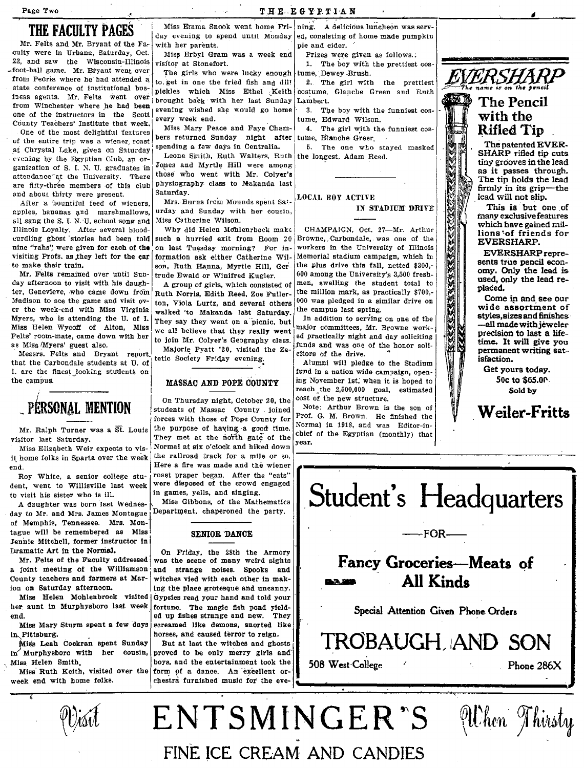Page Two

## THE FACULTY PAGES

Mr. Felts and Mr. Bryant of the Fa-<br>culty were in Urbana, Saturday, Oct. culty were in Urbana, Saturday, Oct. Miss Erbyl Gram was a week end 22, and saw the Wisconsin-Illinois visitor at Stonefort. <sup>22</sup>, and saw the Wisconsin-Illinois visitor at Stonefort.<br>foot-ball game. Mr. Biyant went over The girls who were lucky crough turne. Dewey Pruch -foot-ball game. Mr. Bryant went over The girls who were lucky enough tume, Dewey Brush.<br>from Peoria where he had attended a to, get in one the fried fish and dill 2. The girl with the prettiest  $EMDIMIP$ state conference of institutional bus-<br>insection of the state of the Miss Ethel Cestume, Glanche Green and Ruth<br>insection of the miss Ethel Technical Technical Designation iness agents. Mr. Felts went over brought back with her last Sunday Lambert.<br>from Winchester where he had been from winchester where he had been evening wished she would go home 3. The boy with the funniest cos-<br>one of the instructors in the Scott  $\begin{bmatrix} 1 & 0 & 0 \\ 0 & 0 & 0 \end{bmatrix}$  and  $\begin{bmatrix} 3 & 0 & 0 \\ 0 & 1 & 0 \end{bmatrix}$ County Teachers' Institute that week.

of the entire trip was a wiener roast. Ders returned Sunday night after tume, Blanche Greer .<br>at Chrystal Lake, given on Saturday, spending a few days in Centralia. | 5. The one who stayed masked at Chrystal Lake, givea on Saturday I spending a few days in Centralia.<br>I Saturday I spending by the Egyptian Club, an or-<br>Leone Smith, Ruth Walters, R ganization of S. I. N. U. graduates in  $J$ Opes and Myrtle Hill were among attendance and University There the University Theory is the Who went with Mr. Colver's attendance-at the University. There those who went with Mr. Colyer's are fifty-three members of this club physiography class to Makanda last and chout think were present. and about thirty were present. Saturday.<br>After a hountiful feed of wieners. Mrs. Burns from Mounds spent Sat.  $1.000A$ L BOY ACTIVE

apples, hananas and marshmallows, urday and Sunday with all same the S. I. N. II, school some and Miss Catherine Wilson.  $11$  sang the S. I. N. U. school song and Illinois Loyalty. After several blood- Why did Helen Mohlenrhock make CHAMPAIGN, Oct. 27—Mr. Arthur curdling ghost stories had been told such a hurried exit from Room 20 Browne, Carbondale, was one of the nine "rahs" were given for each of the on last Tuesday morning? For in- workers in the University of Illinois visiting Profs. as they left for the car formation ask either Catherine Wil- Memorial stadium campaign, which i visiting Profs. as they left for the car correction ask either Catherine Wil- Memorial stadium campaign, which in to make their train.

Mr. Felts remained over until Sun- trude Ewald or Winifred Kugler.<br>day afternoon to visit with his daugh-  $\overline{a}$  a group of girls, which consiste day afternoon to visit with his daugh- A group of girls, which consisted of  $\begin{bmatrix} \text{men, a welling} \text{the student total to} \\ \text{ter, Genevieve, who came down from Earth, Norria, Right Reed, Zoe Fuller.} \end{bmatrix}$  the million mark, as practically \$700,ter, Genevieve, who came down from Ruth Norris, Edith Reed, Zoe Fuller- the million mark, as practically \$700,-<br>Madison to see the game and visit ov- the viole Luriz, and several others 000 was pledged in a similar drive Madison to see the game and visit ov- ton, Viola Lurtz, and several others  $|000 \rangle$  was pledged in a similar drive on the veek-end with Miss Virginia welled to Make the veek-end with Miss Virginia Myers, who is attending the U. of I. They say they went on a picnic, but In addition to serving on one of the Miss Helen Wycoff of Alton. Miss  $\begin{bmatrix} \text{m} & \text{m} & \text{m} \\ \text{m} & \text{m} & \text{m} \end{bmatrix}$  and  $\begin{bmatrix} \text{m} & \text{m} \\ \text{m}$ Miss Helen Wycoff of Alton, Miss we all believe that they really went major committees, Mr. Browne work-<br>Felts' room-mate, came down with her  $\frac{1}{1}$ , i.e. Mr. Caleryle Garrer, i.e. ed practically night and day soliciti Felts' room-mate, came down with her  $\left| \text{to join Mr. Colyer's Geography class.} \right|$  to  $\text{M}_1$ ,  $\text{M}_2$  to  $\text{M}_3$  that denote the  $\text{M}_2$ 

that the Carbondale students at U. of even before the stadium in the Stadium and the Stadium in the Stadium in the Stadium in the Stadium in the Stadium in the Stadium in the Stadium in the stadium in the campaign, open-1. are the finest looking students on **fund in a nation wide campaign, open-**<br>the campus. **In the campus of the campus** open-<br> $\frac{1}{2}$  and in a nation wide campaign, open-<br>the campus.

j

it home folks in Sparta over the week end. Here a fire was made and the wiener

dent, went to Willisville last week to visit his sister who is ill.  $\begin{bmatrix} \text{in games, yields} \\ A \text{^damped} \end{bmatrix}$  in games, yells, and singing.

day to Mr. and Mrs. James Montague of Memphis, Tennessee. Mrs. Mon tague will be remembered as Miss SENIOR DANCE Jennie Mitchell, former instructor in

a joint meeting of the Williamson and strange noises. Spooks and County teachers and farmers at Mar- witches yied with each other in mak-County teachers and farmers at Mar- witches vied with each other in mak-<br>ion on Saturday afternoon.

in Pittsburg. horses, and caused terror to reign.

Miss Leah Cockran spent Sunday But at last the witches and ghosts  $\text{in}'$  Murphysboro with her cousin, proved to be only merry girls and Miss, Helen Smith. boys. and the entertainment took the

Miss Emma Snook went home Fri- $\vert$ ning. A delicious luncheon was serv-

to. get in one the fried fish and dill  $\begin{bmatrix} 2 \\ 1 \end{bmatrix}$ . The girl with the prettiest every week end.  $\vert$  tume, Edward Wilson.

One of the most delightful 'features' Miss Mary Peace and Faye Cham- 4. The girl with the funniest cos-<br>One of the most delightful 'features hers returned Sunday night after tume, Blanche Greer

Leone Smith, Ruth Walters, Ruth the longest, Adam Reed.<br>Jones and Myrtle Hill were among

After a bountiful feed of wieners, Mrs. Burns from Mounds spent Sat. Moon bor ACITYP

such a hurried exit from Room 20

walked to Makanda last Saturday.  $\begin{bmatrix} \text{the campus last spring,} \\ \text{In addition to serving on one of the} \end{bmatrix}$ 

tetic Society Friday evening. FILL REPORT THE REPORT REPORT REPORT REPORT REPORT REPORT THE STATE SOCIETY OF THE DRIVE STATE SOCIETY OF THE STATE SOCIETY OF THE STATE STATE STATE SECTION AND REPORT OF THE STATE SOCIETY OF

## **MASSAC AND POPE COUNTY**

On Thursday night, October 20, the  $\begin{bmatrix} \cosh 0 & \cosh 0 & \cosh 0 & \cosh 0 & \cosh 0 & \cosh 0 & \cosh 0 & \cosh 0 & \cosh 0 & \cosh 0 & \cosh 0 & \cosh 0 & \cosh 0 & \cosh 0 & \cosh 0 & \cosh 0 & \cosh 0 & \cosh 0 & \cosh 0 & \cosh 0 & \cosh 0 & \cosh 0 & \cosh 0 & \cosh 0 & \cosh 0 & \cosh 0 & \cosh 0 & \cosh 0 & \cosh 0 & \cosh 0$ **PERSONAL MENTION** students of Massac County Joined Note; Arthur Brown is the son of forces with those of Pope County for  $\begin{bmatrix} \text{Pror. G. M. Brown. He finished the} \\ \text{Normal in 1918, and was Editor-in-} \end{bmatrix}$ Mr. Ralph Turner was a  $\overline{St}$ . Louis the purpose of having a good time. Normal in 1318, and was Editor-in-<br>They met at the next it and not be the chief of the Egyptian (monthly) that visitor last Saturday. They met at the north gate of the Couer Microsoft Monthly (COU) Miss Elizabeth Weir expects to vis- Normal at six o'clock and hiked down<br>home folks in Sparta over the week the railroad track for a mile or so. Roy White, a senior college stu- roast praper began. After the "eats" not went to William last week were disposed of the crowd engaged

A daughter was born last Wednes- Miss Gibbons, of the Mathematic<br>r to Ma and Mrs. James Montague, Department, chaperoned the party,

Dramatic Art in the Normal.  $\begin{array}{c|c} \n\text{On Friday, the 28th the Army W.} \\
\text{Mr. Felts of the Faculty addressed was the scene of many weird signals.}\n\end{array}$ was the scene of many weird sights ing the place grotesque and uncanny. Miss Helen Mohlenbrock visited Gypsies read your hand and told your her aunt in Murphysboro last week fortune. The magic fish pond vieldfortune. The magic fish pond yieldend. . . . . . . ed up fishes strange and new. They<br>Miss Mary Sturm spent a few days screamed like demons, snorted like screamed like demons, snorted like

Miss Ruth Keith, visited over the form of a dance. An excellent or-<br>week end with home folks. chestra furnished music for the eve- $\int_a^b$ 

day evening to spend until Monday  $\left| \begin{array}{c} e_d \\ h$  consisting of home made pumpkin with her parents with her parents.<br>
Miss Erbyl Gram was a week end Prizes were given as follows.

THE EGYPTIAN

make their train.  $\begin{vmatrix} \text{son, Ruth Hanna, Myrtle Hill, Ger} \end{vmatrix}$  the plus drive this fall, netted \$300,-<br>Mr. Felts remained over until Sun- trude Ewald or Winifred Kugler 600 among the University's 3.500 fresh-

Miss Myers' guest also. Majorle Pyatt '20, visited the Ze- funds and was one of the honor soli-<br>Messrs. Felts and Bryant report Majorle Pyatt '20, visited the Ze- citors of the drive.

reach the  $2,500,000$  goal, estimated cost of the new structure.



The Pencil

This is but one of many exclusive features which have gained millions 'of friends for EVERSHARP.

EVERSHARP repreomy. Only the lead is used, only the lead replaced.

Come in and See our wide assortment of styles, sizes and finishes -all made with jeweler precision to last a lifetime. It will give you permanent writing satisfaction.

Get yours today. 50c to \$65.00. Sold by

Weiler-Fritts

।<br>इ



Student's Headquarters

<u> Kara (Kumang Kumang Kumang Ku</u>

**ANA** 

 $-$ FOR $-$ 

Special Attention Given Phone Orders

TROBAUGH, lAND SON 508 West 'College .' Phone 286X

Vilken Thirsty

ENTSMINGER "S FINE ICE CREAM AND CANDIES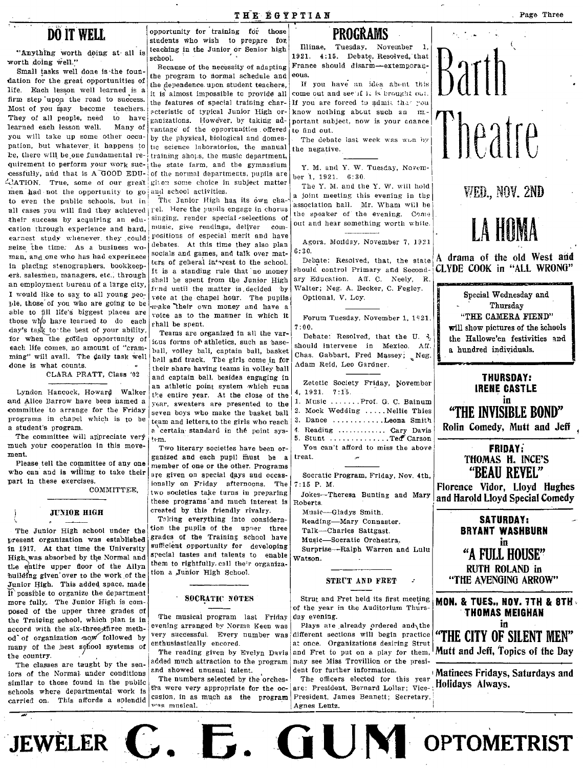## **DÖ IT WELL**

"Anything worth doing at all is worth doing well."

Small tasks well done is the foundation for the great opportunities of life. Each lesson well learned is a firm step upon the road to success. Most of you may become teachers. They of all people, need to have learned each lesson well. Many of you will take up some other occupation, but whatever it happens to be, there will be one fundamental requirement to perform your work successfully, and that is A GOOD EDU--CATION. True, some of our great men had not the opportunity to go and school activities. to even the public schools, but in all cases you will find they achieved | rel. Here the pupils engage in chorus their success by acquiring an education through experience and hard, earnest study whenever they could seize the time. As a business woman, and one who has had experinece in placing stenographers, bookkeepers, salesmen, managers, etc., through an employment bureau of a large city, I would like to say to all young people, those of you who are going to be able to fill life's biggest places are those who have learned to do each day's task to the best of your ability, for when the golden opportunity of each life comes, no amount of "cramming" will avail. The daily task well done is what counts.

CLARA PRATT, Class '02

Lyndon Hancock, Howard Walker and Alice Barrow have been named a committee to arrange for the Friday programs in chapel which is to be a student's program.

The committee will appreciate very much your cooperation in this movement.

Please tell the committee of any one who can and is willing to take their part in these exercises.

COMMITTEE.

## **JUNIOR HIGH**

The Junior High school under the present organization was established in 1917. At that time the University High was absorbed by the Normal and the entire upper floor of the Allyn building given over to the work of the Junior High. This added space, made it possible to organize the department more fully. The Junior High is composed of the upper three grades of the Training school, which plan is in accord with the six-three-three method of organization now followed by many of the best school systems of the country.

The classes are taught by the seniors of the Normal under conditions similar to those found in the public schools where departmental work is carried on. This affords a splendid

opportunity for training for those students who wish to prepare for teaching in the Junior or Senior high school

Because of the necessity of adapting the program to dormal schedule and the dependence upon student teachers, it is almost impossible to provide all the features of special training characteristic of typical Junior High organizations. However, by taking advantage of the opportunities offered by the physical, biological and domestic science laboratories, the manual training shops, the music department, the state farm, and the gymnasium of the normal departments, pupils are given some choice in subject matter

The Junior High has its own chasinging, render special selections of music, give readings, deliver compositions of especial merit and have debates. At this time they also plan socials and games, and talk over matters of general interest to the school. It is a standing rule that no money shall be spent from the Junior High fund until the matter is decided by vote at the chapel hour. The pupils make their own money and have a voice as to the manner in which it shall be spent.

Teams are organized in all the various forms of athletics, such as haseball, volley ball, captain ball, basket ball and track. The girls come in for their share having teams in volley ball and captain ball, besides engaging in an athletic point system which runs the entire year. At the close of the year, sweaters are presented to the seven boys who make the basket ball team and letters, to the girls who reach a certain standard in the point system.

Two literary societies have been organized and each pupil must be a member of one or the other. Programs are given on special days and occasionally on Friday afternoons. The two societies take turns in preparing these programs and much interest is created by this friendly rivalry.

Taking everything into consideration the pupils of the upper three grades of the Training school have sufficient opportunity for developing special tastes and talents to enable them to rightfully call their organization a Junior High School.

### **SOCRATIC NOTES**

The musical program last Friday evening arranged by Norma Keen was very successful. Every number was enthusiastically encored.

The reading given by Evelyn Davis added much attraction to the program and showed unusual talent.

The numbers selected by the orchestra were very appropriate for the occasion, in as much as the program was musical.

## **PROGRAMS**

Illinae, Tuesday, November 1, 1921. 4:15. Debate, Resolved, that France should disarm-extemporan-

If you have an idea about this come out and see if it is brought out. If you are forced to admit that you know nothing about such an mportant subject, now is your chance to find out.

The debate last week was won by the negative.

Y. M. and Y. W. Tuesday. November 1, 1921. 6:30.

The Y. M. and the Y. W. will hold a joint meeting this evening in the association hall. Mr. Wham will be the speaker of the evening. Come out and hear something worth while.

Agora, Monday, November 7, 1921  $6:30.$ 

Debate: Resolved, that, the state should control Primary and Secondary Education. Aff. C. Neely, R. Walter; Neg. A. Becker, C. Fegley. Optional, V. Loy.

Forum Tuesday, November 1, 1921.  $7:00.$ 

Debate: Resolved, that the U. 3. should intervene in Mexico. Aff. Chas. Gabbart, Fred Massey; Neg. Adam Reid, Leo Gardner.

Zetetic Society Friday, November 4, 1921. 7:15. 1. Music ....... Prof. G. C. Bainum

- 2. Mock Wedding ..... Nellie Thies
- 3. Dance ..........Leona Smith 4. Reading ............ Cary Davis 5. Stunt .............Ted Carson You can't afford to miss the above

treat

Socratic Program, Friday, Nov. 4th,  $7:15$  P. M.

Jokes-Theresa Bunting and Mary Roberts.

- Music-Gladys Smith. Reading-Mary Connaster.
- Talk-Charles Sattgast.
- Music-Socratic Orchestra.

Surprise-Ralph Warren and Lulu Watson.

## STRUT AND FRET

Strut and Fret held its first meeting | MON. & TUES., NOV. 7TH & 8TH of the year in the Auditorium Thursday evening.

Plays are already ordered and the different sections will begin practice at once. Organizations desiring Strut and Fret to put on a play for them, may see Miss Trovillion or the president for further information.

The officers elected for this year are: President, Bernard Lollar; Vice- Holidays Always. President, James Bennett; Secretary, Agnes Lentz.

JEWELER C. E. GUIM OPTOMETRIST



WED., NOV. 2ND

liheatre

will show pictures of the schools the Hallowe'en festivities and a hundred individuals.

**THURSDAY: IRENE CASTLE** in "THE INVISIBLE BOND"

Rolin Comedy, Mutt and Jeff

**FRIDAY:** THOMAS H. INCE'S "BEAU REVEL"

Florence Vidor, Lloyd Hughes and Harold Lloyd Special Comedy

> **SATURDAY: BRYANT WASHBURN** in "A FULL HOUSE" **RUTH ROLAND in** "THE AVENGING ARROW"

**THOMAS MEIGHAN** in "THE CITY OF SILENT MEN" Mutt and Jeff, Topics of the Day

Matinees Fridays, Saturdays and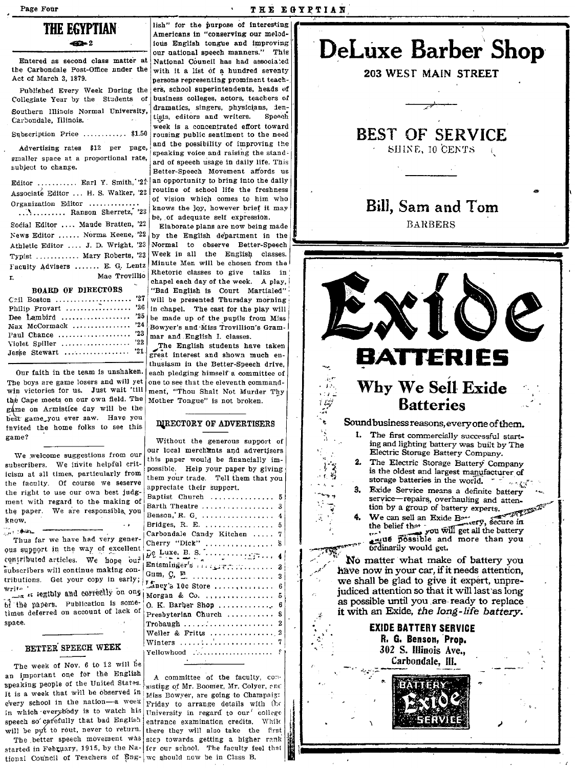### THE EGYPTIAN

## THE EGYPTIAN

Entered as second class matter at the Carbondale Post-Office nnder the Act of March 3, 1879.

Published Every Week During the Collegiate Year by the Students of Southern Illinois Normal University, Carbondale, Illinois. Subscription Price ............ \$1.50

Advertising rates \$12 per page, smaller space at a proportional rate, subject to change.

Editor .......... Earl Y. Smith, 21 Associate Editor ... H. S. Walker, '22 Organization Editor ........... ............. Ranson Sherretz, '23 Social Editor .... Maude Bratten, '22 News Editor ...... Norma Keene, '22 Athletic Editor .... J. D. Wright, '23 Typist ........... Mary Roberts, '23 Faculty Advisers ...... E. G. Lentz Mae Trovillio  $\mathbf{r}$ **BOARD OF DIRECTORS** 

Cail Boston ...................... '27 Dee Lambird ................... '25 Max McCormack ................. '24 Paul Chance ..................... '23 Violet Spiller .................... '22 Jesse Stewart .................. '21.

Our faith in the team is unshaken. The boys are game losers and will yet win victories for us. Just wait 'till the Cape meets on our own field. The game on Armistice day will be the best game you ever saw. Have you invited the home folks to see this game?

We welcome suggestions from our subscribers. We invite helpful criticism at all times, particularly from the faculty. Of course we seserve the right to use our own best judgment with regard to the making of the paper. We are responsible you know.

سطاف وين Thus far we have had very generous support in the way of excellent contributed articles. We hope our subscribers will continue making contributions. Get your copy in early; write. re at legibly and correctly on one of the papers. Publication is sometimes deferred on account of lack of space.

### BETTER SPEECH WEEK

The week of Nov. 6 to 12 will be an important one for the English speaking people of the United States. It is a week that will be observed in  $\frac{1}{M}$  Miss Bowver, are going to Champaig: every school in the nation-a week Friday to arrange details with the in which everybody is to watch his university in regard to our college speech so carefully that bad English entrance examination credits. While will be put to rout, never to return. there they will also take the first

started in February, 1915, by the Na- for our school. The faculty feel that tional Council of Teachers of Eng- we should now be in Class B.

lish" for the purpose of interesting Americans in "conserving our melodious English tongue and improving our national speech manners." This National Council has had associated with it a list of a hundred seventy persons representing prominent teachers, school superintendents, heads of business colleges, actors, teachers of dramatics, singers, physicians, 1entists, editors and writers. Speech week is a concentrated effort toward rousing public sentiment to the need and the possibility of improving the speaking voice and raising the standard of speech usage in daily life. This Better-Speech Movement affords us an opportunity to bring into the daily routine of school life the freshness of vision which comes to him who knows the joy, however brief it may be, of adequate self expression.

Elaborate plans are now being made by the English department in the Normal to observe Better-Speech Week in all the English classes. Minute Men will be chosen from the Rhetoric classes to give talks in chapel each day of the week. A play, "Bad English is Court Martialed" will be presented Thursday morning in chapel. The cast for the play will be made up of the pupils from Miss Bowyer's and Miss Trovillion's Grammar and English I. classes.

The English students have taken great interest and shown much enthusiasm in the Better-Speech drive, each pledging himself a committee of one to see that the eleventh commandment, "Thou Shalt Not Murder Thy Mother Tongue" is not broken.

### DIRECTORY OF ADVERTISERS

| Without the generous support of                                                                                                                                                                                                                                                                                                                                                 |                |
|---------------------------------------------------------------------------------------------------------------------------------------------------------------------------------------------------------------------------------------------------------------------------------------------------------------------------------------------------------------------------------|----------------|
| our local merchants and advertisers                                                                                                                                                                                                                                                                                                                                             |                |
| this paper would be financially im-                                                                                                                                                                                                                                                                                                                                             |                |
| possible. Help your paper by giving                                                                                                                                                                                                                                                                                                                                             |                |
| them your trade. Tell them that you                                                                                                                                                                                                                                                                                                                                             |                |
| appreciate their support.                                                                                                                                                                                                                                                                                                                                                       |                |
| Baptist Church  5                                                                                                                                                                                                                                                                                                                                                               |                |
| Barth Theatre  3                                                                                                                                                                                                                                                                                                                                                                |                |
| Benson, R. G. $\ldots$                                                                                                                                                                                                                                                                                                                                                          | $\overline{4}$ |
| Bridges, R. E.                                                                                                                                                                                                                                                                                                                                                                  | 5              |
| Carbondale Candy Kitchen                                                                                                                                                                                                                                                                                                                                                        | 7              |
| Cherry "Dick"                                                                                                                                                                                                                                                                                                                                                                   | s              |
|                                                                                                                                                                                                                                                                                                                                                                                 | 4              |
| Entsminger's $\overline{u}$ , $\overline{u}$ , $\overline{u}$ , $\overline{u}$ , $\overline{u}$ , $\overline{u}$ , $\overline{u}$ , $\overline{u}$ , $\overline{u}$ , $\overline{u}$ , $\overline{u}$ , $\overline{u}$ , $\overline{u}$ , $\overline{u}$ , $\overline{u}$ , $\overline{u}$ , $\overline{u}$ , $\overline{u}$ , $\overline{u}$ , $\overline{u}$ , $\overline{u}$ | 2              |
| Gum, $\mathcal{G}, \mathcal{F}, \ldots, \ldots, \ldots, \ldots$                                                                                                                                                                                                                                                                                                                 | 3              |
| $L$ aney's 10c Store                                                                                                                                                                                                                                                                                                                                                            | 6              |
| Morgan & Co.                                                                                                                                                                                                                                                                                                                                                                    | 5              |
| $0. K.$ Barber Shop                                                                                                                                                                                                                                                                                                                                                             | 6              |
|                                                                                                                                                                                                                                                                                                                                                                                 | 8              |
|                                                                                                                                                                                                                                                                                                                                                                                 | 2              |
|                                                                                                                                                                                                                                                                                                                                                                                 | 2              |
| Weiler & Fritts<br>Winters $\ldots$ , $\ldots$ , $\ldots$                                                                                                                                                                                                                                                                                                                       | 7              |
|                                                                                                                                                                                                                                                                                                                                                                                 | ę.             |
| Yellowhood<br>the contract of the contract of the contract of the contract of the contract of the contract of the contract of                                                                                                                                                                                                                                                   |                |
|                                                                                                                                                                                                                                                                                                                                                                                 |                |

A committee of the faculty, consisting of Mr. Boomer, Mr. Colyer, enc The better speech movement was step towards getting a higher rank



## Bill, Sam and Tom **BARBERS**

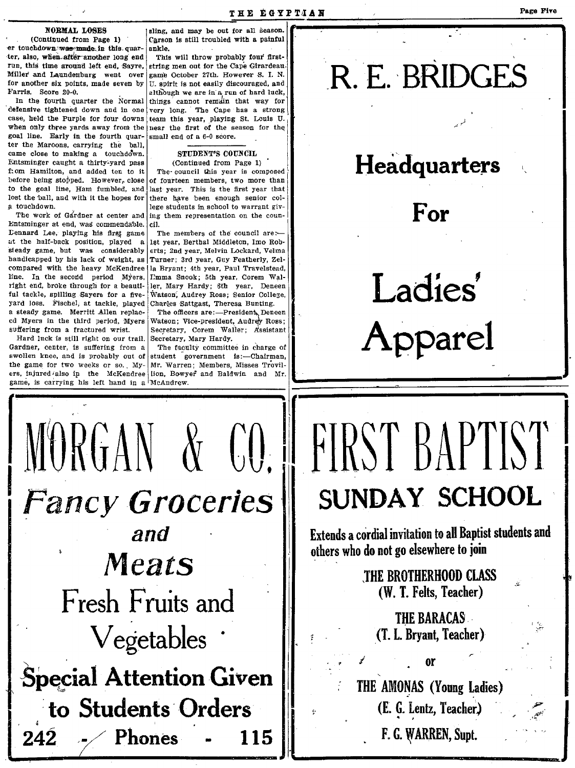### NORMAL LOSES

(Continued from Page 1) er touchdown was made in this quarter, also, when after another long end run, this time around left end, Sayre, Miller and Laundenburg went over for another six points, made seven by }f'arrls. Score 20-0.

In the fourth quarter the Normal defensive tightened down and In one case, held the Purple for four downs when only three yards away from the goal line. Early in the fourth quarter the Maroons, carrying the ball, came close to making a touchdown. STUDENT'S COUNCIL Futsminger caught a thirty-yard pass (Continued from Page 1) from Hamilton, and added ten to it The council this year is con f: om Hamilton, and added ten to it The council this year is composed before being stopped. However, close of fourteen members, two more than to the goal line, Ham fumbled, and last year. This is the first year that lost the ball, and with it the hopes for there have been enough senior collost the ball, and with it the hopes for  $a$  touchdown.

L'atsminger at end, was commendable. cil. Lennard Lee. playing his first game The members of the council are:at the half-back position, played a 1st year. Berthal Middleton, Imo Rob-<br>steady game, but was considerably erts; 2nd year, Melvin Lockard, Velma steady game, but was considerably handicapped by his lack of weight, as Turner; 3rd year, Guy Featherly, Zelcompared with the heavy McKendree la Bryant; 4th year. Paul Travelstead. line. In the second period Myers. I<sup>-m</sup>ma Snook; 5th year, Corem Wal-<br>right end, broke through for a beauti- ler, Mary Hardy; 6th year. Deneen right end, broke through for a beauti- ler. Mary Hardy; 6th year. Deneen ful tackle, spilling Sayers for a five- Watson, Audrey Ross; Senior College. ful tackle, spilling Sayers for a five- Watson, Audrey Ross; Senior Colle<br>yard loss. Fischel, at tackle, played Charles Sattgast, Theresa Bunting. yard loss. Fischel, at tackle, played a steady game. Merritt Allen replac- The officers are:--President, Deneen<br>cd Myers in the third period, Myers Watson; Vice-president, Audrey Ross; ed Myers in the third period. Myers

Hard luck is still right on our trail. center. is suffering from a swollen knee, and is probably out of student  $\epsilon$  government is:-Chairman. the game for two weeks or so. My- Mr. Warren; Members, Misses Trovil-<br>ers, injured/also in the McKendree lion, Bowyer and Baldwin and Mr. game, is carrying his left hand in a McAndrew.

sling, and may be out for all season. Carson Is still troubled with a painful ankle.

This will throw probably four firststring men out for the Cape Girardeau. game October 27th. However S. 1. N. U. spirit is not easily discouraged, and although we are in a run of hard luck, things cannot remain that way for very long. The Cape has a strong team this year, playing St. Louis U. near the first of the season for the small end of a  $6-0$  score.

of fourteen members, two more than last year. This is the first year that touchdown. lege students in school to warrant giv-<br>The work of Gardner at center and ing them representation on the couning them representation on the coun-

suffering from a fractured wrist. Secretary, Corem Waller; Assistant Secretary, Mary Hardy.

 $\begin{bmatrix} 1 & 1 \\ 1 & 1 \end{bmatrix}$ 

I

,

-;

~.

 $\frac{1}{2}$ 

I

The faculty committee in charge of

MORGAN & CO.<br>Fancy Groceries and 242 Meats Fresh Fruits and • Vegetables Special Attention Given to Students Orders  $242$   $\div$  Phones - 115  $.$  ,  $.$ 

## $\ddot{\phantom{0}}$ R. E. BRIDGES

## Headquarters

## For

Ladies' Apparel

# FIRST BAPTIST SUNDAY SCHOOL

Extends a cordial invitation to all Baptist students and others who do not go elsewhere to join

> THE BROTHERHOOD CLASS (W. 1. Felts, Teacher)

THE BARACAS<br>(T. L. Bryant, Teacher)

 $\neq$  or

THE AMONAS (Young Ladies) (E. G. Lentz, Teacher.) F. G. WARREN, Supt.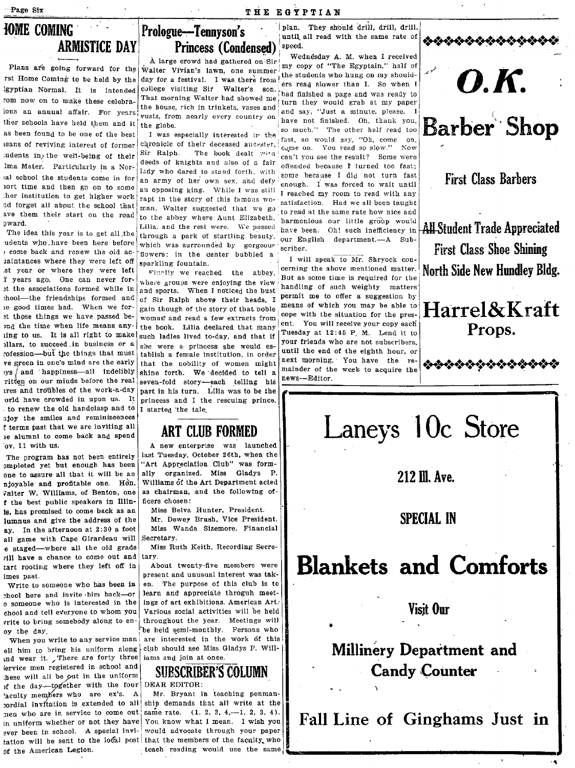## Page Six **THE EGYPTIAN**

## **lOME COMING ARMISTICE DAY**

Plans are going forward for the rst Home Coming to be held by the 19yptian Normal. It 'is intended That more coming to be held by the day for a festival. I was there from the students who hung on my should-<br>rst Home Coming to be held by the day for a festival. I was there from the students who hung on my should-<br>rom now ions an annual affair. For years vusts, from nearly every country on and say, "Just a minute. please. I ther schools have held them and it the stone Explicit Normal. It is intended college visiting Sir Walter's sont intended a page and was ready to come now on to make these celebra-<br>
That morning Walter had showed me thank the search of the solution of the bouse, rich leans of reviving interest of former :udents in the well-being of their as been found to be one of the best<br>
learns of reviving interest of former<br>
learns of reviving interest of former<br>
learns of reviving interest of former<br>
learns of reviving interest of former<br>
learns of their discussed an

laintances where they were left off sparkling fountain. I will speak to Mr. Shryock con-<br>st year or where they were left  $\frac{1}{100}$  is a state of the state of cerning the above mentioned matter. ritten on our minds before the real

njoyable and profitable one. Hon. Williams of the Art Department acted<br>Falter W. Williams, of Benton, one as chairman, and the following of-Valter W. Williams, of Benton, one *t* the best public speakers in IIlin- ficers chosen: Is. has promised to come back as an lumnua and give the address of the ay. In the afternoon at 2: 30 a foot all game with Cape Girardeau will Secretary. e staged-where all the old grads Miss Ruth Keith, Recording Secrerill have a chance to come out and tary. tart rooting where they left off in About twenty-five members were

write to bring somebody along to en-

ell him to bring his uniform along club should see Miss ( $n_d$  wear it. There are forty three jams and join at once. md wear it. , There are forty three lervice men registered in school and lervice men registered in school and **SURSCRIBER'S COLUMN**<br>of the day-together with the four DEAR EDITOR: )f the day-together with the four ever been in school. A special invithese will all be out in the uniform<br>
of the day-together with the four DEAR EDITOR:<br>  $\frac{1}{2}$  are  $\frac{1}{2}$  and  $\frac{1}{2}$  are  $\frac{1}{2}$  and  $\frac{1}{2}$  are  $\frac{1}{2}$  are  $\frac{1}{2}$  are  $\frac{1}{2}$  are  $\frac{1}{2}$  are  $\frac{1}{2}$ 

Walter Vivian's lawn, one summer:  $\frac{I_{\text{III}}}{I_{\text{II}}}$  copy of the egy ptain. Hence,  $\frac{I_{\text{III}}}{I_{\text{II}}}$ day for a festival. I was there from  $\frac{1}{1}$  the students who hung on my shouldcollege visiting  $\text{Sir}$  Walter's  $\text{son}$ , the read slower than I. So when I

chronicle of their deceased ancester,  $\begin{cases} \text{uast, so} & \text{wounds as } y, \text{u}, \text{cone} \\ \text{Sir} & \text{Ralph.} \end{cases}$  The book dealt  $\text{win} \begin{cases} \text{come on, You read so slow?} \\ \text{can't you see the result?} \end{cases}$  Some were deeds of knights and also of a fair lma Mater. Particularly in a Nor-<br>all school the students came in fast lady who dared to stand forth, with some because I did not turn fast lady who dared to stand forth, with lal school the students come in for an army of her own sex, and defv' some because I did not turn fast<br>iort time and then go on to some an annosing bing. While I was sill an army of two still nort time and then go on to some an opposing king. While I was still reached my room to read with any<br>ther institution to get higher work rapt in the story of this famous wo- catisfaction. Hed we all hear town to nd forget all about the school that  $\begin{vmatrix} \text{map} & \text{in} & \text{in} \\ \text{man} & \text{water} & \text{suggested} & \text{that} \end{vmatrix}$  was working to read at the same note how nice and ave them their start on the road to the abbey where Aunt Elizabeth, homogeneous and the same rate how nice and pward. The abbey where Aunt Elizabeth, harmonious our little group would<br>pward. through a park of startling beauty, udents who have been here before which was surrounded by gorgeous scriber Intents who have been here before which was surrounded by gorgeous scriber.<br>
1 ocne back and renew the old ac- flowers: in the genter bubbled a T will speak to Mr. Shryock con-<br>
1 will speak to Mr. Shryock con-

where groups were enjoying the view intuiting of such weighty matters  $\frac{1}{2}$  resets  $\frac{1}{2}$  ratios is the Islamid ing of such weighty matters It the associations formed while in and sports. When I noticed the bust handling of such weighty matters<br>theol—the friendships formed and se sin Belph share their heads. I permit me to offer a suggestion by thool-the friendships formed and of Sir Ralph above their heads, I permit me to offer a suggestion by ... It those things we have passed be-<br>
in the time when life means any- the book. Lilia declared that many  $\vert$  ent. You will receive your copy each<br>
ing to us. It is all right to make such hadden lined to day and that is Tu ling to us. It is all right to make such ladies lived to-day, and that if  $\begin{bmatrix} \text{These} & \text{The following}\\ \text{Four fields when } \text{The original theorem}\end{bmatrix}$ llars, to succeed in business or a she were a princess she would es- your friends who are not subscribers, according that this second in this second in the set of the eighth hour, or rofession-but the things that must tablish a female institution, in order until the end of the eighth hour, or<br>ve green in one's mind are the early that the nobility of women might next morning. You have the reve green in one's mind are the early that the nobility of women might next morning. You have the re-<br>use and happiness—all indeliby shine forth. We decided to tell a mainder of the week to acquire the ritten on our minds before the real seven-fold story-each telling his<br>ires and troubles of the work-a-day part in his turn. Lilia was to be the<br>orld have crowded in upon us. It princess and I the rescuing prince. orld have crowded in upon us. It princess and I the rescuing prince. to renew the old handclasp and to  $\frac{1}{1}$  started the tale.

A new enterprise was launched<br>last Tuesday, October 26th, when the The program bas not been entirely last Tuesday, October 26th, when the  $\omega$  ompleted yet but enough has been "Art Appreciation Club" was form-<br>one to assure all that it will be an ally organized. Miss Gladys P. one to assure all that it will be an ally organized. Miss Gladys P.<br>niovable and profitable one. Hon. Williams of the Art Department acted

> Miss Belva Hunter. President. Mr. Dewey Brush, Vice President. Miss Wanda Sizemore, Financial

imes past.<br>Write to someone who has been in en. The purpose of this club is to Write to someone who has been in en. The purpose of this club is to help in the him back-or learn and appreciate throguh meet- $_{0.20}$ ool here and invite him back—or learn and appreciate throguh meet-<br>o someone who is interested in the ings of art exhibitions, American Art. o someone who is interested in the ings of art exhibitions, American Art.<br>'chool and tell everyone to whom you | Various social activities will be held chool and tell everyone to whom you Various social activities will be held<br>vrite to bring somebody along to en-<br>throughout the year. Meetings will oy the day.<br>When you write to any service man are interested in the work of this When you write to any service man are interested in the work of this<br>It him to bring his uniform along club should see Miss Gladys P. Will-

 $^{2}$ aculty members who are ex's. A Mr. Bryant in teaching penman-<br>pordial invitation is extended to all ship demands that all write at the In uniform whether or not they have You know what I mean. I wish you<br>agay heen in school. A special invi- would advocate through your paper tation will be sent to the local post that the members of the faculty, who of the American Legion.  $\Box$  teach reading would use the same

**Prologue-Tennyson's Plan.** They should drill, drill, drill, drill, and the same rate of

A large crowd had gathered on  $\text{Sir}$  is wednesday A. M. when I received





## **Millinery Department and Candy Counter**

**Fall Line of Ginghams Just in**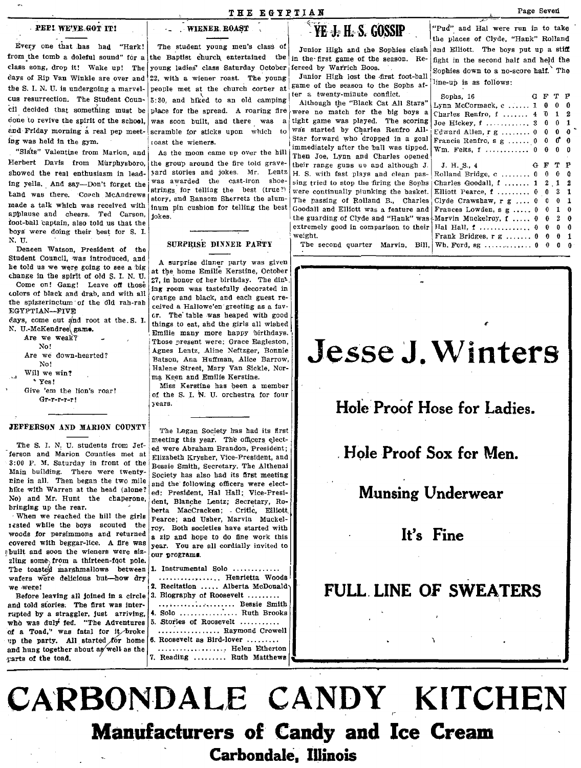### THE EGYPTIAN

## PEP! WE'VE GOT IT!

 $\ddot{\phantom{a}}$ 

Every one that has had "Hark! from the tomb a doleful sound" for a class song, drop it! Wake up! The days of Rip Van Winkle are over and the S. I. N. U. is undergoing a marvelcus resurrection. The Student Council decided that something must be done to revive the spirit of the school. and Friday morning a real pep meeting was held in the gym.

"Slats" Valentine from Marion, and Herbert Davis from Murphysboro, the group around the fire told graveshowed the real enthusiasm in leading yells. And say-Don't forget the tand was there. Coach McAndrews made a talk which was received with applause and cheers. Ted Carson, foot-ball captain, also told us that the coys were doing their best for S. I. N. U.

Deneen Watson, President of the Student Council, was introduced, and he told us we were going to see a big change in the spirit of old S. I. N. U.

Come on! Gang! Leave off those colors of black and drab, and with all the spizzerinctum of the old rah-rah EGYPTIAN-FIVE

days, come out and root at the S. I. N. U.-McKendree game.

Are we weak? No! Are we down-hearted? No! Will we win? \* Yes! Give 'em the lion's roar!  $Gr-r-r-r+1$ 

### JEFFERSON AND MARION COUNTY

The S. I. N. U. students from Jefferson and Marion Counties met at 3:00 P. M. Saturday in front of the Main building. There were twentynine in all. Then began the two mile hike with Warren at the head (alone? No) and Mr. Hunt the chaperone, bringing up the rear.

When we reached the hill the girls iested while the boys scouted the woods for persimmons and returned covered with beggar-lice. A fire was abuilt and soon the wieners were sizzling some from a thirteen-foot pole. The toasted marshmallows between wafers were delicious but-how dry we were!

Before leaving all joined in a circle and told stories. The first was interrupted by a straggler, just arriving, who was duly fed. "The Adventures of a Toad," was fatal for it broke up the party. All started for home and hung together about as well as the parts of the toad.

The student young men's class of the Baptist church entertained the young ladies' class Saturday October 22, with a wiener roast. The young people met at the church corner at 5:30, and hiked to an old camping place for the spread. A roaring fire was soon built, and there was  $\overline{a}$ scramble for sticks upon which roast the wieners.

**WIENER ROAST** 

As the moon came up over the hill yard stories and jokes. Mr. Lentz was awarded the cast-iron shoestrings for telling the best (true?) story, and Ransom Sherretz the aluminum pin cushion for telling the best inires

### SURPRISE DINNER PARTY

A surprise dinner party was given at the home Emilie Kerstine, October 27, in honor of her birthday. The dining room was tastefully decorated in orange and black, and each guest received a Hallowe'en greeting as a favor. The table was heaped with good things to eat, and the girls all wished Emilie many more happy birthdays. Those present were: Grace Eagleston, Agnes Lentz, Aline Neftzger, Bonnie Batson, Ana Huffman, Alice Barrow, Halene Street, Mary Van Sickle, Norma Keen and Emilie Kerstine.

Miss Kerstine has been a member of the S. I. N. U. orchestra for four years.

The Logan Society has had its first meeting this year. The officers elected were Abraham Brandon, President: Elizabeth Krysher, Vice-President, and Bessie Smith, Secretary, The Althenai Society has also had its first meeting and the following officers were elected: President, Hal Hall; Vice-President, Blanche Lentz; Secretary, Roberta MacCracken; Critic, Elliott Pearce; and Usher, Marvin Muckelroy. Both societies have started with a zip and hope to do fine work this year. You are all cordially invited to our programs.

| 1. Instrumental Solo $\ldots \ldots \ldots$                                         |
|-------------------------------------------------------------------------------------|
| , Henrietta Woods!<br>2. Recitation  Alberta McDonaldy<br>3. Biography of Roosevelt |
| Bessie Smith!<br>4. Solo  Ruth Brooks                                               |
| $5.$ Stories of Roosevelt $\ldots$                                                  |
| Raymond Crowell<br>3. Roosevelt as Bird-lover $\ldots \ldots$<br>Helen Etherton     |
| 7. Reading  Ruth Matthews                                                           |

## YE J. H. S. GOSSIP

Junior High and the Sophies clash in the first game of the season. Refereed by Warrich Boos.

Junior High lost the first foot-ball game of the season to the Sophs after a twenty-minute conflict.

Although the "Black Cat All Stars" were no match for the big boys a tight game was played. The scoring was started by Charles Renfro All-Star forward who dropped in a goal immediately after the ball was tinned Then Joe, Lynn and Charles opened their range guns an and although I H. S. with fast plays and clean passing tried to stop the firing the Sonhs were continually plunking the basket. The passing of Rolland B., Charles Goodall and Elliott was a feature and the guarding of Clyde and "Hank" was extremely good in comparison to their weight.

The second quarter Marvin, Bill.

### "Pud" and Hal were run in to take the places of Clyde, "Hank" Rolland and Elliott. The boys put up a stiff fight in the second half and held the Sophies down to a no-score half. The line-up is as follows:

| Sophs, 16                               | G | F     | т  | P |
|-----------------------------------------|---|-------|----|---|
| $Lynn$ McCormack, $c$ 1                 |   | 0     | Û  | A |
| Charles Renfro, f  4                    |   | ъ     | 1  | 2 |
| Joe Hickey, $f$ ,  3                    |   | 0     | 0  | 1 |
| Edward Allen, r g  0                    |   | 0     | 0  | 0 |
| Francis Renfro, $s \t g \t \ldots \t 0$ |   | 0     | б. | 0 |
| $Wm.$ Felts, f  0                       |   | 0     | 0  | 0 |
|                                         |   |       |    |   |
| J. H. S., 4                             | G | F     | т  | P |
| Rolland Bridge, $c_1, \ldots, c_n$      |   | ⋒     | 0  | û |
| Charles Goodall, f  1                   |   | $2$ . | 1  | 2 |
| Elliott Pearce, $f$ $0$                 |   | 0     | 3  | 1 |
| Clyde Crawshaw, $r g$ 0                 |   | 0.    | 0  | 1 |
| Frances Lowden, $s g$ 0                 |   | 0     | 1  | 0 |
| Marvin Muckelroy, f 0                   |   | 0     | 2  | 0 |
| Hal Hall, $f$ 0                         |   | 0     | 0  | 0 |
| Frank Bridges, $r g$ 0                  |   | 0     | 0  | 1 |
| Wh. Ford, $sg$ 0                        |   | 0     | 0  | O |
|                                         |   |       |    |   |

## Jesse J. Winters

## Hole Proof Hose for Ladies.

Hole Proof Sox for Men.

## **Munsing Underwear**

## It's Fine

## **FULL LINE OF SWEATERS**

CARBONDALE CANDY KITCHEN **Manufacturers of Candy and Ice Cream** Carbondale, Illinois